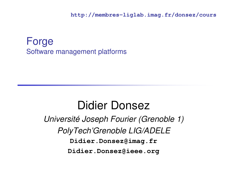**http://membres-liglab.imag.fr/donsez/cours**

#### ForgeSoftware management platforms

### Didier Donsez

Université Joseph Fourier (Grenoble 1)PolyTech'Grenoble LIG/ADELE**Didier.Donsez@imag.frDidier.Donsez@ieee.org**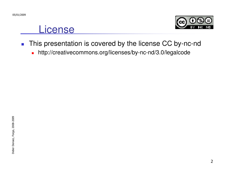#### **License**



- $\mathcal{L}_{\mathcal{A}}$  This presentation is covered by the license CC by-nc-nd
	- $\blacksquare$ http://creativecommons.org/licenses/by-nc-nd/3.0/legalcode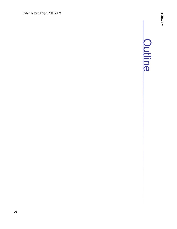# **Outline**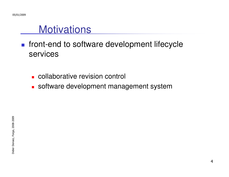#### **Motivations**

- T. **ficht-end to software development lifecycle** services
	- o, **Exercise revision control**
	- o, software development management system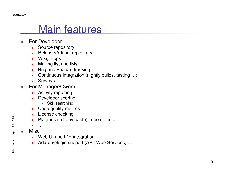#### Main features

- $\sim$  For Developer
	- ▉ Source repository
	- Release/Artifact repository  $\blacksquare$
	- П Wiki, Blogs
	- Mailing list and IMs п
	- Bug and Feature tracking  $\blacksquare$
	- Continuous integration (nightly builds, testing …)  $\blacksquare$
	- $\mathbf{r}$ Surveys
- For Manager/Owner  $\mathcal{L}_{\mathcal{A}}$ 
	- п Activity reporting
	- **Developer scoring**  $\overline{\phantom{a}}$ 
		- Skill searching
	- **Code quality metrics**  $\mathcal{L}_{\mathcal{A}}$
	- $\blacksquare$ License checking
	- **Plagiarism (Copy-paste) code detector**  $\blacksquare$
	- ▉ …
- Misc

P.

- Web UI and IDE integration ▉
- Add-on/plugin support (API, Web Services, …) $\blacksquare$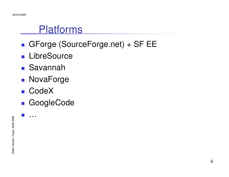#### Platforms

- T. GForge (SourceForge.net) + SF EE
- **LibreSource**
- T. Savannah
- T. ■ NovaForge
- ■ CodeX
- T. GoogleCode

T.

…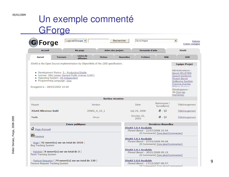#### 05/01/2009

#### Un exemple commenté**GForge**

| Forge                                                                                                                                                                                                        |                        |               |                   |                                                                                                                                        |                             | <b>Créer compte</b>                                                                                                                                                               |  |
|--------------------------------------------------------------------------------------------------------------------------------------------------------------------------------------------------------------|------------------------|---------------|-------------------|----------------------------------------------------------------------------------------------------------------------------------------|-----------------------------|-----------------------------------------------------------------------------------------------------------------------------------------------------------------------------------|--|
| <b>Accueil</b>                                                                                                                                                                                               | Ma page                |               | Arbre des projets | Demande d'aide                                                                                                                         |                             | <b>JOnAS</b>                                                                                                                                                                      |  |
| <b>Survol</b><br><b>Traceurs</b>                                                                                                                                                                             | Listes de<br>diffusion | <b>Tâches</b> | <b>Nouvelles</b>  | <b>Fichiers</b>                                                                                                                        | Wiki                        | <b>SVN</b>                                                                                                                                                                        |  |
| JOnAS is the Open Source implementation by ObjectWeb of the J2EE specification.                                                                                                                              |                        |               |                   |                                                                                                                                        |                             | <b>Equipe-Projet</b>                                                                                                                                                              |  |
| • Development Status: 5 - Production/Stable<br>· License: GNU Lesser General Public License (LGPL)<br>• Operating System: OS Independent<br>• Programming Language: Java<br>Enregistré le : 28/03/2002 14:44 |                        |               |                   |                                                                                                                                        |                             | Administrateurs:<br><b>Benoit PELLETIER</b><br><b>Gerard Vandome</b><br><b>Florent Benoit</b><br><b>Guillaume Sauthier</b><br><b>Francois Exertier</b><br><b>Dhilinno Duriouv</b> |  |
|                                                                                                                                                                                                              |                        |               |                   |                                                                                                                                        |                             | Développeurs :<br>46 [Voir les<br>membres]                                                                                                                                        |  |
|                                                                                                                                                                                                              |                        |               | Sorties récentes  |                                                                                                                                        |                             |                                                                                                                                                                                   |  |
| Paquet                                                                                                                                                                                                       |                        | Version       |                   | <b>Date</b>                                                                                                                            | Remarques /<br>Surveillance | Téléchargement                                                                                                                                                                    |  |
| <b>JOnAS Milestone Build</b>                                                                                                                                                                                 | JONAS 4 10 1           |               |                   | July 24, 2008                                                                                                                          | $Q - Q$                     | Téléchargement                                                                                                                                                                    |  |
| <b>Tools</b>                                                                                                                                                                                                 |                        | Jimys         |                   | October 20,<br>2005                                                                                                                    | $Q - Q$                     | Téléchargement                                                                                                                                                                    |  |
| <b>Zones publiques</b>                                                                                                                                                                                       |                        |               |                   | <b>Dernières Nouvelles</b>                                                                                                             |                             |                                                                                                                                                                                   |  |
| <b>D</b> Page d'accueil                                                                                                                                                                                      |                        |               |                   | <b>JOnAS 5.0.4 Available</b><br>Florent Benoit - 21/07/2008 10:54                                                                      |                             |                                                                                                                                                                                   |  |
| Th <sub>Traceurs</sub><br>- Bugs (92 ouvert(s) sur un total de 1010)<br><b>Bug Tracking System</b>                                                                                                           |                        |               |                   | (0 Comments) [Lire plus/Commenter]<br>JOnAS 5.0.2 Available<br>Florent Benoit - 07/04/2008 09:08<br>(0 Comments) [Lire plus/Commenter] |                             |                                                                                                                                                                                   |  |
| - Patches (0 ouvert(s) sur un total de 2)<br>Patch Tracking System                                                                                                                                           |                        |               |                   | JOnAS 5.0.1 Available<br>Florent Benoit - 30/01/2008 09:19<br>(0 Comments) [Lire plus/Commenter]                                       |                             |                                                                                                                                                                                   |  |
| - Feature Requests (74 ouvert(s) sur un total de 130)<br><b>Feature Request Tracking System</b>                                                                                                              |                        |               |                   | JOnAS 5.0.0 Available<br>Florent Benoit - 17/12/2007 08:57<br>(0 Comments) [Lire plus/Commenter]                                       |                             |                                                                                                                                                                                   |  |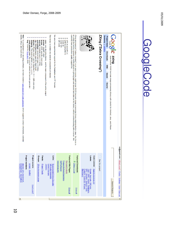## GoogleCode GoogleCode

| events, URLs, and much more<br>New: To complement our decoding software, we have created a web-based QR Code generator which supports contact information, calendar<br>bug: Client for BugLabs's BUG<br>zxing.appspot.com: The source behind our barcode generator<br>zxingorg: The source behind zxing.org/w | We also have experimental support for the DataMatrix and ITF formats<br>This library is divided into several components of interest<br>androidtest: Android test app (1.0 SDK)<br>android: Android client (1.0 SDK)<br>core: core decoding library, and the main component of the entire project<br>iphone: iPhone client + port to Objective C / C++ (QR code only)<br>rim: RIM/Blackberry-specific client build<br>javase: J2SE-specific client code<br>javame: JavaME client | currently have production-quality support tor:<br>on using the bull-in camera on mobile phones to photograph and decode barcodes on the device, without communicating with a server. We<br>ZXing (pronounced "zebra crossing") is an open-source, multi-format 1D/2D barcode image processing library implemented in Java. Our focus is<br>UPC-A and UPC-E<br>Code 128<br>Code 39<br>EAN-8 and EAN-13<br><b>QR Code</b> | ZXing ("Zebra Crossing")                                                                                                                                                                                             | Summary   Updates<br><b>Project Home</b><br><u>algoor</u><br>Code<br><b>Downloads</b><br><b>Buixz</b><br>Multi-format 1D/2D barcode image processing library with clients for Android, Java, and iPhone<br><b>Miki</b><br><b>Issues</b><br><b>Source</b> |
|---------------------------------------------------------------------------------------------------------------------------------------------------------------------------------------------------------------------------------------------------------------------------------------------------------------|---------------------------------------------------------------------------------------------------------------------------------------------------------------------------------------------------------------------------------------------------------------------------------------------------------------------------------------------------------------------------------------------------------------------------------------------------------------------------------|-------------------------------------------------------------------------------------------------------------------------------------------------------------------------------------------------------------------------------------------------------------------------------------------------------------------------------------------------------------------------------------------------------------------------|----------------------------------------------------------------------------------------------------------------------------------------------------------------------------------------------------------------------|----------------------------------------------------------------------------------------------------------------------------------------------------------------------------------------------------------------------------------------------------------|
| Project members:<br>Project owners:<br>chrietian hrunechon<br>srowen, dswitkin<br>alasdair john mackintosh,<br>briangbrown, mschulkind<br>How to join?                                                                                                                                                        | Feeds:<br>Groups:<br>Links:<br>Javadoc<br>ZXing discussion group<br>QR Code Generator<br><b>Project Feeds</b><br>Experimental Online Decoder<br>Latest Changes                                                                                                                                                                                                                                                                                                                  | <b>Featured</b><br>Featured<br><b>GetTheReader</b><br><b>BarcodeContents</b><br><b>FrequentlyAskedQuestions</b><br>InterestingLinks<br><b>ZXing-1.2.zip</b><br>Wiki Pages:<br>Downloads:<br>Show all<br>Show all                                                                                                                                                                                                        | Labels:<br>Code License: Apache License 2.0<br>码<br>Star this project<br>Google, barcode, QRCode,<br><b>Blackberry</b><br>Code39, Code128, iPhone,<br>UPC, decoder, Android, EAN,<br>Java, J2ME, reader, DataMatrix, | ez@gmail.com   What's new?   Profile   Settings   Help   Sign out<br>Search Projects                                                                                                                                                                     |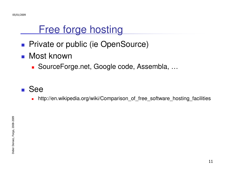#### Free forge hosting

- T. **Private or public (ie OpenSource)**
- ■ Most known
	- o, ■ SourceForge.net, Google code, Assembla, ...
- T. ■ See
	- http://en.wikipedia.org/wiki/Comparison\_of\_free\_software\_hosting\_facilities $\blacksquare$